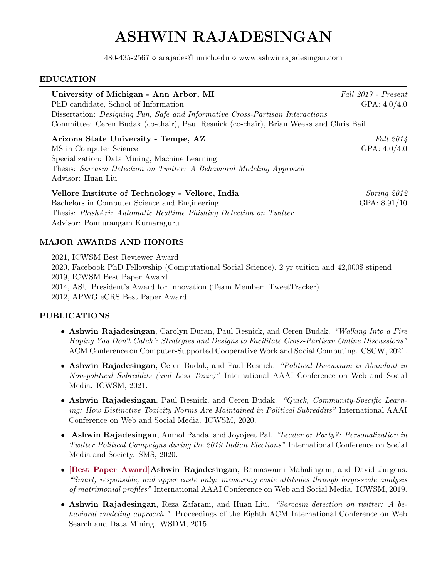# ASHWIN RAJADESINGAN

 $480-435-2567 \diamond$  arajades@umich.edu  $\diamond$  www.ashwinrajadesingan.com

#### EDUCATION

| University of Michigan - Ann Arbor, MI<br>PhD candidate, School of Information<br>Dissertation: Designing Fun, Safe and Informative Cross-Partisan Interactions<br>Committee: Ceren Budak (co-chair), Paul Resnick (co-chair), Brian Weeks and Chris Bail | Fall 2017 - Present<br>GPA: $4.0/4.0$ |
|-----------------------------------------------------------------------------------------------------------------------------------------------------------------------------------------------------------------------------------------------------------|---------------------------------------|
| Arizona State University - Tempe, AZ<br>MS in Computer Science<br>Specialization: Data Mining, Machine Learning<br>Thesis: Sarcasm Detection on Twitter: A Behavioral Modeling Approach<br>Advisor: Huan Liu                                              | Fall 2014<br>GPA: $4.0/4.0$           |
| Vellore Institute of Technology - Vellore, India<br>Bachelors in Computer Science and Engineering<br>Thesis: <i>PhishAri: Automatic Realtime Phishing Detection on Twitter</i><br>Advisor: Ponnurangam Kumaraguru                                         | Spring 2012<br>GPA: $8.91/10$         |

# MAJOR AWARDS AND HONORS

2021, ICWSM Best Reviewer Award 2020, Facebook PhD Fellowship (Computational Social Science), 2 yr tuition and 42,000\$ stipend 2019, ICWSM Best Paper Award 2014, ASU President's Award for Innovation (Team Member: TweetTracker) 2012, APWG eCRS Best Paper Award

### PUBLICATIONS

- Ashwin Rajadesingan, Carolyn Duran, Paul Resnick, and Ceren Budak. "Walking Into a Fire Hoping You Don't Catch': Strategies and Designs to Facilitate Cross-Partisan Online Discussions" ACM Conference on Computer-Supported Cooperative Work and Social Computing. CSCW, 2021.
- Ashwin Rajadesingan, Ceren Budak, and Paul Resnick. "Political Discussion is Abundant in Non-political Subreddits (and Less Toxic)" International AAAI Conference on Web and Social Media. ICWSM, 2021.
- Ashwin Rajadesingan, Paul Resnick, and Ceren Budak. "Quick, Community-Specific Learning: How Distinctive Toxicity Norms Are Maintained in Political Subreddits" International AAAI Conference on Web and Social Media. ICWSM, 2020.
- Ashwin Rajadesingan, Anmol Panda, and Joyojeet Pal. "Leader or Party?: Personalization in Twitter Political Campaigns during the 2019 Indian Elections" International Conference on Social Media and Society. SMS, 2020.
- [Best Paper Award]Ashwin Rajadesingan, Ramaswami Mahalingam, and David Jurgens. "Smart, responsible, and upper caste only: measuring caste attitudes through large-scale analysis of matrimonial profiles" International AAAI Conference on Web and Social Media. ICWSM, 2019.
- Ashwin Rajadesingan, Reza Zafarani, and Huan Liu. "Sarcasm detection on twitter: A behavioral modeling approach." Proceedings of the Eighth ACM International Conference on Web Search and Data Mining. WSDM, 2015.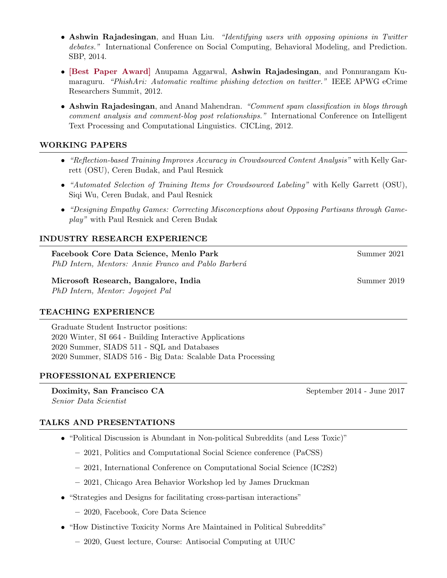- Ashwin Rajadesingan, and Huan Liu. "Identifying users with opposing opinions in Twitter debates." International Conference on Social Computing, Behavioral Modeling, and Prediction. SBP, 2014.
- [Best Paper Award] Anupama Aggarwal, Ashwin Rajadesingan, and Ponnurangam Kumaraguru. "PhishAri: Automatic realtime phishing detection on twitter." IEEE APWG eCrime Researchers Summit, 2012.
- Ashwin Rajadesingan, and Anand Mahendran. "Comment spam classification in blogs through comment analysis and comment-blog post relationships." International Conference on Intelligent Text Processing and Computational Linguistics. CICLing, 2012.

### WORKING PAPERS

- "Reflection-based Training Improves Accuracy in Crowdsourced Content Analysis" with Kelly Garrett (OSU), Ceren Budak, and Paul Resnick
- "Automated Selection of Training Items for Crowdsourced Labeling" with Kelly Garrett (OSU), Siqi Wu, Ceren Budak, and Paul Resnick
- "Designing Empathy Games: Correcting Misconceptions about Opposing Partisans through Gameplay" with Paul Resnick and Ceren Budak

### INDUSTRY RESEARCH EXPERIENCE

Facebook Core Data Science, Menlo Park Summer 2021 PhD Intern, Mentors: Annie Franco and Pablo Barberá

### Microsoft Research, Bangalore, India Summer 2019

PhD Intern, Mentor: Joyojeet Pal

### TEACHING EXPERIENCE

Graduate Student Instructor positions: 2020 Winter, SI 664 - Building Interactive Applications 2020 Summer, SIADS 511 - SQL and Databases 2020 Summer, SIADS 516 - Big Data: Scalable Data Processing

### PROFESSIONAL EXPERIENCE

Doximity, San Francisco CA September 2014 - June 2017 Senior Data Scientist

TALKS AND PRESENTATIONS

# • "Political Discussion is Abundant in Non-political Subreddits (and Less Toxic)"

- 2021, Politics and Computational Social Science conference (PaCSS)
- 2021, International Conference on Computational Social Science (IC2S2)
- 2021, Chicago Area Behavior Workshop led by James Druckman
- "Strategies and Designs for facilitating cross-partisan interactions"
	- 2020, Facebook, Core Data Science
- "How Distinctive Toxicity Norms Are Maintained in Political Subreddits"
	- 2020, Guest lecture, Course: Antisocial Computing at UIUC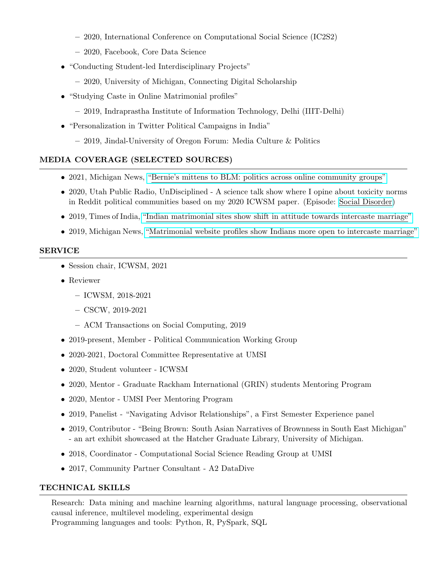- 2020, International Conference on Computational Social Science (IC2S2)
- 2020, Facebook, Core Data Science
- "Conducting Student-led Interdisciplinary Projects"
	- 2020, University of Michigan, Connecting Digital Scholarship
- "Studying Caste in Online Matrimonial profiles"
	- 2019, Indraprastha Institute of Information Technology, Delhi (IIIT-Delhi)
- "Personalization in Twitter Political Campaigns in India"
	- 2019, Jindal-University of Oregon Forum: Media Culture & Politics

# MEDIA COVERAGE (SELECTED SOURCES)

- 2021, Michigan News, ["Bernie's mittens to BLM: politics across online community groups"](https://news.umich.edu/bernies-mittens-to-blm-people-talk-politics-across-online-community-groups-with-less-venom/)
- 2020, Utah Public Radio, UnDisciplined A science talk show where I opine about toxicity norms in Reddit political communities based on my 2020 ICWSM paper. (Episode: [Social Disorder\)](https://www.upr.org/post/undisciplined-social-disorder)
- 2019, Times of India, ["Indian matrimonial sites show shift in attitude towards intercaste marriage"](https://timesofindia.indiatimes.com/india/indian-matrimonial-sites-show-shift-in-attitude-towards-intercaste-marriage-study/articleshow/69812375.cms)
- 2019, Michigan News, ["Matrimonial website profiles show Indians more open to intercaste marriage"](https://www.si.umich.edu/about-umsi/news/matrimonial-website-profiles-show-indians-more-open-intercaste-marriage)

### SERVICE

- Session chair, ICWSM, 2021
- Reviewer
	- ICWSM, 2018-2021
	- CSCW, 2019-2021
	- ACM Transactions on Social Computing, 2019
- 2019-present, Member Political Communication Working Group
- 2020-2021, Doctoral Committee Representative at UMSI
- 2020, Student volunteer ICWSM
- 2020, Mentor Graduate Rackham International (GRIN) students Mentoring Program
- 2020, Mentor UMSI Peer Mentoring Program
- 2019, Panelist "Navigating Advisor Relationships", a First Semester Experience panel
- 2019, Contributor "Being Brown: South Asian Narratives of Brownness in South East Michigan" - an art exhibit showcased at the Hatcher Graduate Library, University of Michigan.
- 2018, Coordinator Computational Social Science Reading Group at UMSI
- 2017, Community Partner Consultant A2 DataDive

# TECHNICAL SKILLS

Research: Data mining and machine learning algorithms, natural language processing, observational causal inference, multilevel modeling, experimental design Programming languages and tools: Python, R, PySpark, SQL